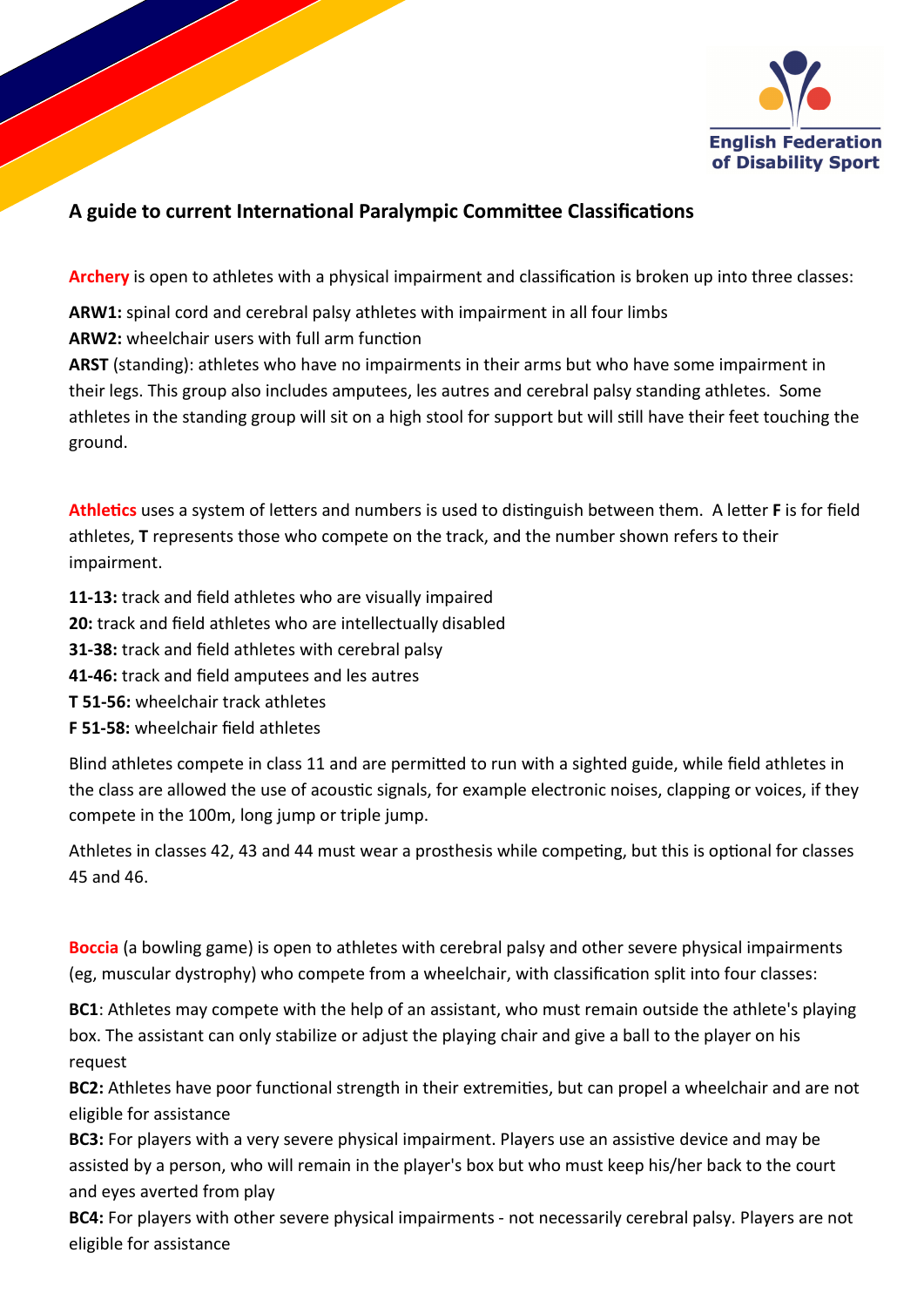

## A guide to current International Paralympic Committee Classifications

**Archery** is open to athletes with a physical impairment and classification is broken up into three classes:

**ARW1:** spinal cord and cerebral palsy athletes with impairment in all four limbs **ARW2:** wheelchair users with full arm function

**ARST** (standing): athletes who have no impairments in their arms but who have some impairment in their legs. This group also includes amputees, les autres and cerebral palsy standing athletes. Some athletes in the standing group will sit on a high stool for support but will still have their feet touching the ground.

**Athletics** uses a system of letters and numbers is used to distinguish between them. A letter **F** is for field athletes, **T** represents those who compete on the track, and the number shown refers to their impairment.

- **11-13:** track and field athletes who are visually impaired
- **20:** track and field athletes who are intellectually disabled
- **31-38:** track and field athletes with cerebral palsy
- **41-46:** track and field amputees and les autres
- **T 51-56:** wheelchair track athletes
- **F 51-58:** wheelchair field athletes

Blind athletes compete in class 11 and are permitted to run with a sighted guide, while field athletes in the class are allowed the use of acoustic signals, for example electronic noises, clapping or voices, if they compete in the 100m, long jump or triple jump.

Athletes in classes 42, 43 and 44 must wear a prosthesis while competing, but this is optional for classes 45 and 46.

**Boccia** (a bowling game) is open to athletes with cerebral palsy and other severe physical impairments (eg, muscular dystrophy) who compete from a wheelchair, with classification split into four classes:

**BC1**: Athletes may compete with the help of an assistant, who must remain outside the athlete's playing box. The assistant can only stabilize or adjust the playing chair and give a ball to the player on his request

**BC2:** Athletes have poor functional strength in their extremities, but can propel a wheelchair and are not eligible for assistance

**BC3:** For players with a very severe physical impairment. Players use an assistive device and may be assisted by a person, who will remain in the player's box but who must keep his/her back to the court and eyes averted from play

**BC4:** For players with other severe physical impairments - not necessarily cerebral palsy. Players are not eligible for assistance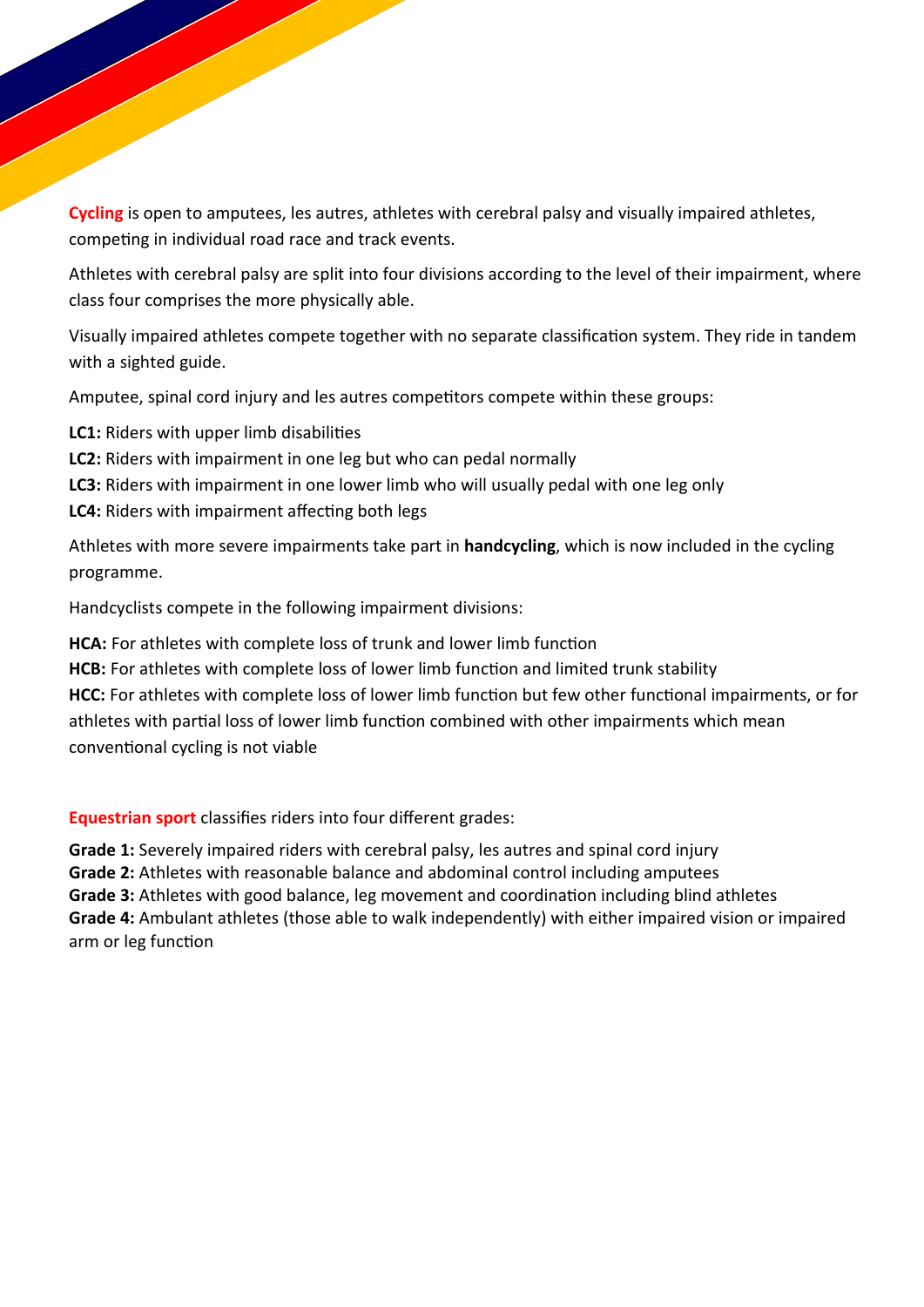**Cycling** is open to amputees, les autres, athletes with cerebral palsy and visually impaired athletes, competing in individual road race and track events.

Athletes with cerebral palsy are split into four divisions according to the level of their impairment, where class four comprises the more physically able.

Visually impaired athletes compete together with no separate classification system. They ride in tandem with a sighted guide.

Amputee, spinal cord injury and les autres competitors compete within these groups:

**LC1:** Riders with upper limb disabilities

- **LC2:** Riders with impairment in one leg but who can pedal normally
- **LC3:** Riders with impairment in one lower limb who will usually pedal with one leg only
- LC4: Riders with impairment affecting both legs

Athletes with more severe impairments take part in **handcycling**, which is now included in the cycling programme.

Handcyclists compete in the following impairment divisions:

**HCA:** For athletes with complete loss of trunk and lower limb function

HCB: For athletes with complete loss of lower limb function and limited trunk stability

**HCC:** For athletes with complete loss of lower limb function but few other functional impairments, or for athletes with partial loss of lower limb function combined with other impairments which mean conventional cycling is not viable

**Equestrian sport** classifies riders into four different grades:

**Grade 1:** Severely impaired riders with cerebral palsy, les autres and spinal cord injury

**Grade 2:** Athletes with reasonable balance and abdominal control including amputees

**Grade 3:** Athletes with good balance, leg movement and coordination including blind athletes

**Grade 4:** Ambulant athletes (those able to walk independently) with either impaired vision or impaired arm or leg function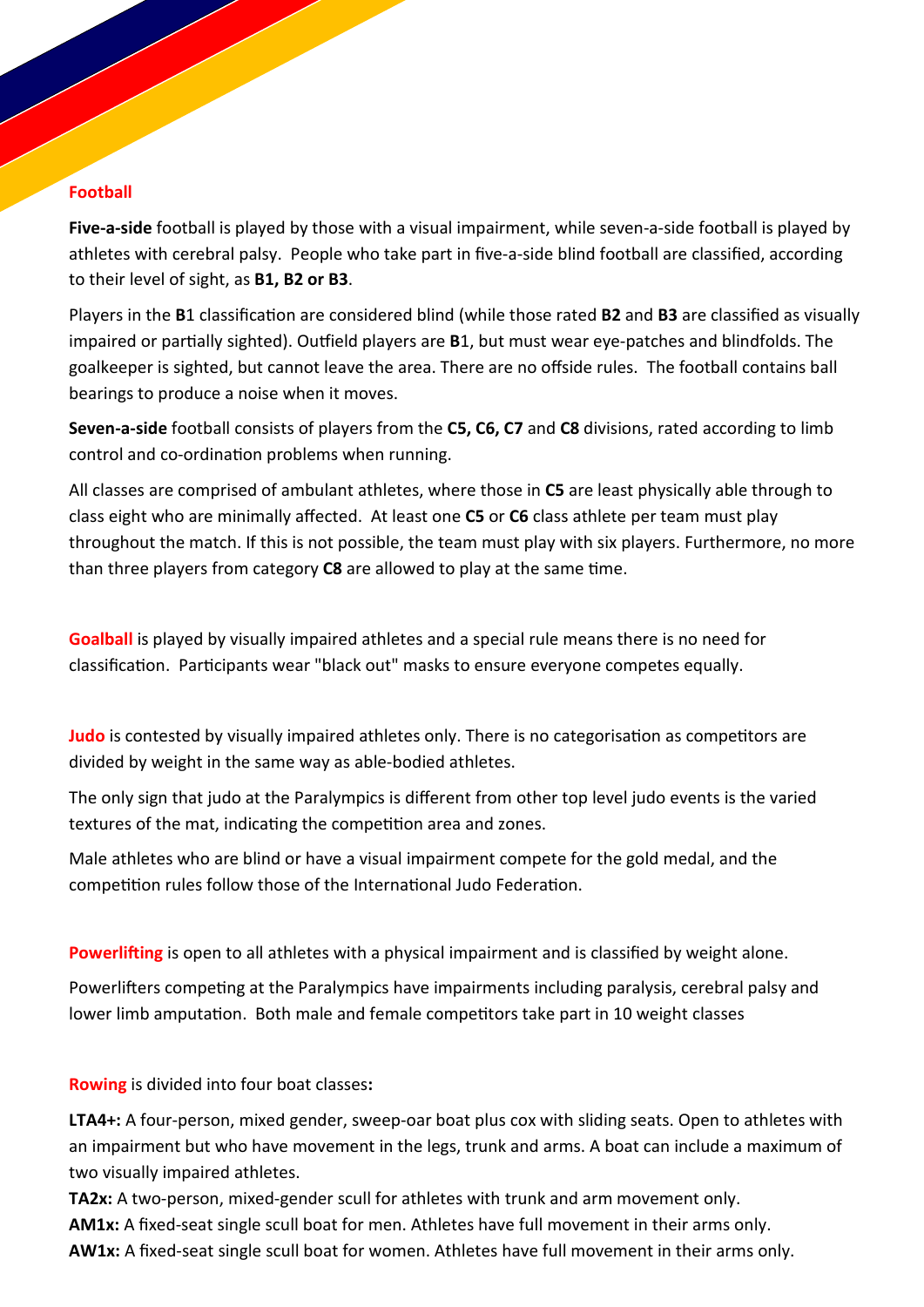## **Football**

**Five-a-side** football is played by those with a visual impairment, while seven-a-side football is played by athletes with cerebral palsy. People who take part in five-a-side blind football are classified, according to their level of sight, as **B1, B2 or B3**.

Players in the **B**1 classification are considered blind (while those rated **B2** and **B3** are classified as visually impaired or partially sighted). Outfield players are **B**1, but must wear eye-patches and blindfolds. The goalkeeper is sighted, but cannot leave the area. There are no offside rules. The football contains ball bearings to produce a noise when it moves.

**Seven-a-side** football consists of players from the **C5, C6, C7** and **C8** divisions, rated according to limb control and co-ordination problems when running.

All classes are comprised of ambulant athletes, where those in **C5** are least physically able through to class eight who are minimally affected. At least one **C5** or **C6** class athlete per team must play throughout the match. If this is not possible, the team must play with six players. Furthermore, no more than three players from category C8 are allowed to play at the same time.

**Goalball** is played by visually impaired athletes and a special rule means there is no need for classification. Participants wear "black out" masks to ensure everyone competes equally.

**Judo** is contested by visually impaired athletes only. There is no categorisation as competitors are divided by weight in the same way as able-bodied athletes.

The only sign that judo at the Paralympics is different from other top level judo events is the varied textures of the mat, indicating the competition area and zones.

Male athletes who are blind or have a visual impairment compete for the gold medal, and the competition rules follow those of the International Judo Federation.

**Powerlifting** is open to all athletes with a physical impairment and is classified by weight alone.

Powerlifters competing at the Paralympics have impairments including paralysis, cerebral palsy and lower limb amputation. Both male and female competitors take part in 10 weight classes

**Rowing** is divided into four boat classes**:**

**LTA4+:** A four-person, mixed gender, sweep-oar boat plus cox with sliding seats. Open to athletes with an impairment but who have movement in the legs, trunk and arms. A boat can include a maximum of two visually impaired athletes.

**TA2x:** A two-person, mixed-gender scull for athletes with trunk and arm movement only. **AM1x:** A fixed-seat single scull boat for men. Athletes have full movement in their arms only. **AW1x:** A fixed-seat single scull boat for women. Athletes have full movement in their arms only.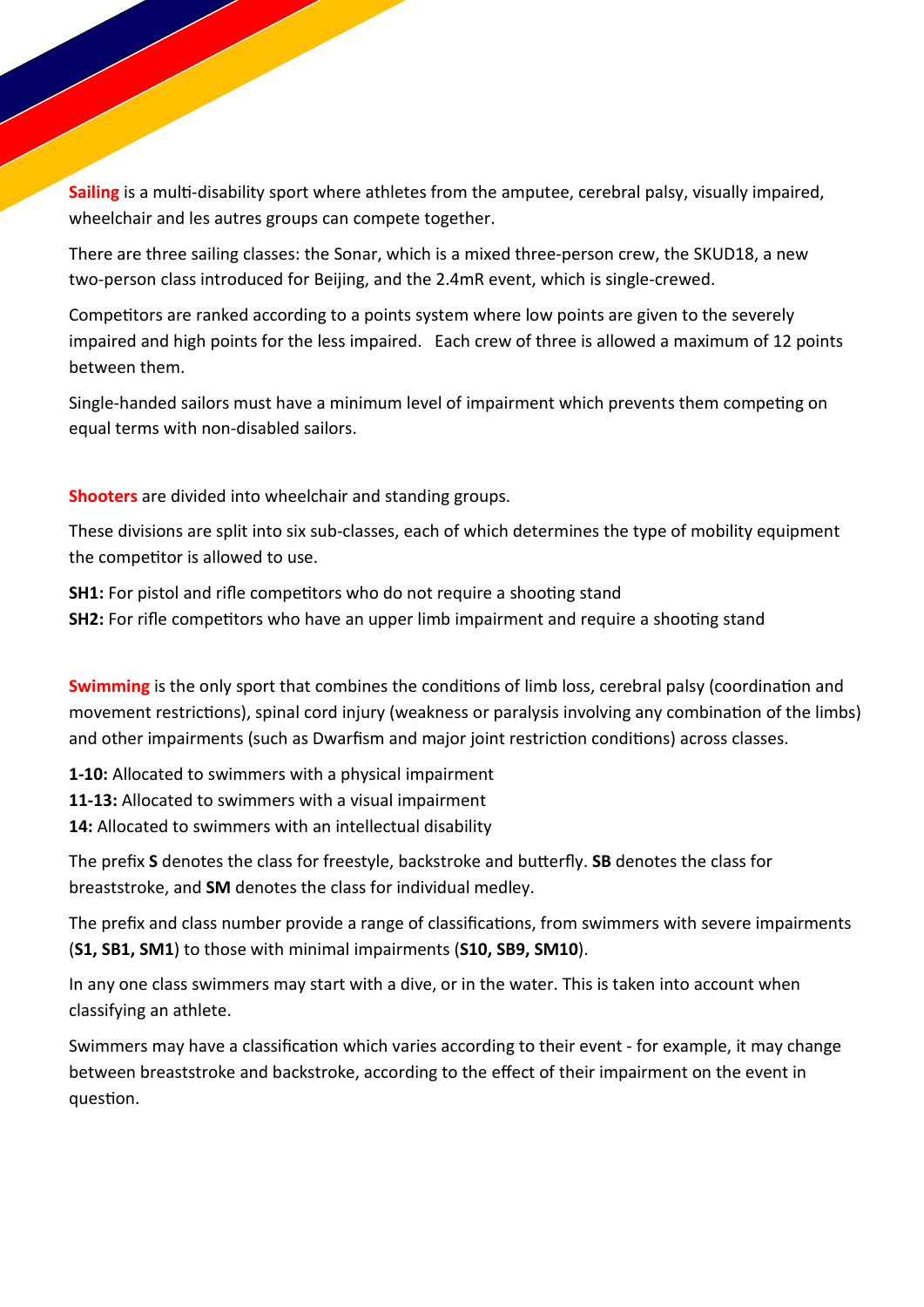**Sailing** is a multi-disability sport where athletes from the amputee, cerebral palsy, visually impaired, wheelchair and les autres groups can compete together.

There are three sailing classes: the Sonar, which is a mixed three-person crew, the SKUD18, a new two-person class introduced for Beijing, and the 2.4mR event, which is single-crewed.

Competitors are ranked according to a points system where low points are given to the severely impaired and high points for the less impaired. Each crew of three is allowed a maximum of 12 points between them.

Single-handed sailors must have a minimum level of impairment which prevents them competing on equal terms with non-disabled sailors.

**Shooters** are divided into wheelchair and standing groups.

These divisions are split into six sub-classes, each of which determines the type of mobility equipment the competitor is allowed to use.

**SH1:** For pistol and rifle competitors who do not require a shooting stand **SH2:** For rifle competitors who have an upper limb impairment and require a shooting stand

**Swimming** is the only sport that combines the conditions of limb loss, cerebral palsy (coordination and movement restrictions), spinal cord injury (weakness or paralysis involving any combination of the limbs) and other impairments (such as Dwarfism and major joint restriction conditions) across classes.

**1-10:** Allocated to swimmers with a physical impairment

**11-13:** Allocated to swimmers with a visual impairment

**14:** Allocated to swimmers with an intellectual disability

The prefix S denotes the class for freestyle, backstroke and butterfly. **SB** denotes the class for breaststroke, and **SM** denotes the class for individual medley.

The prefix and class number provide a range of classifications, from swimmers with severe impairments (**S1, SB1, SM1**) to those with minimal impairments (**S10, SB9, SM10**).

In any one class swimmers may start with a dive, or in the water. This is taken into account when classifying an athlete.

Swimmers may have a classification which varies according to their event - for example, it may change between breaststroke and backstroke, according to the effect of their impairment on the event in question.